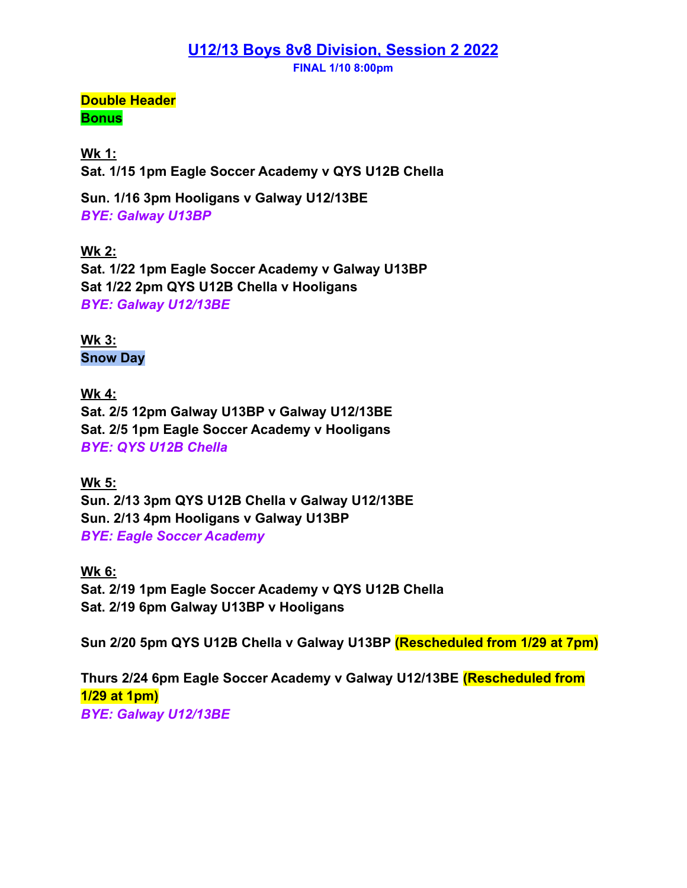## **U12/13 Boys 8v8 Division, Session 2 2022**

**FINAL 1/10 8:00pm**

**Double Header Bonus**

**Wk 1: Sat. 1/15 1pm Eagle Soccer Academy v QYS U12B Chella**

**Sun. 1/16 3pm Hooligans v Galway U12/13BE** *BYE: Galway U13BP*

**Wk 2: Sat. 1/22 1pm Eagle Soccer Academy v Galway U13BP Sat 1/22 2pm QYS U12B Chella v Hooligans** *BYE: Galway U12/13BE*

**Wk 3: Snow Day**

**Wk 4: Sat. 2/5 12pm Galway U13BP v Galway U12/13BE Sat. 2/5 1pm Eagle Soccer Academy v Hooligans** *BYE: QYS U12B Chella*

**Wk 5: Sun. 2/13 3pm QYS U12B Chella v Galway U12/13BE Sun. 2/13 4pm Hooligans v Galway U13BP** *BYE: Eagle Soccer Academy*

**Wk 6: Sat. 2/19 1pm Eagle Soccer Academy v QYS U12B Chella Sat. 2/19 6pm Galway U13BP v Hooligans**

**Sun 2/20 5pm QYS U12B Chella v Galway U13BP (Rescheduled from 1/29 at 7pm)**

**Thurs 2/24 6pm Eagle Soccer Academy v Galway U12/13BE (Rescheduled from 1/29 at 1pm)** *BYE: Galway U12/13BE*